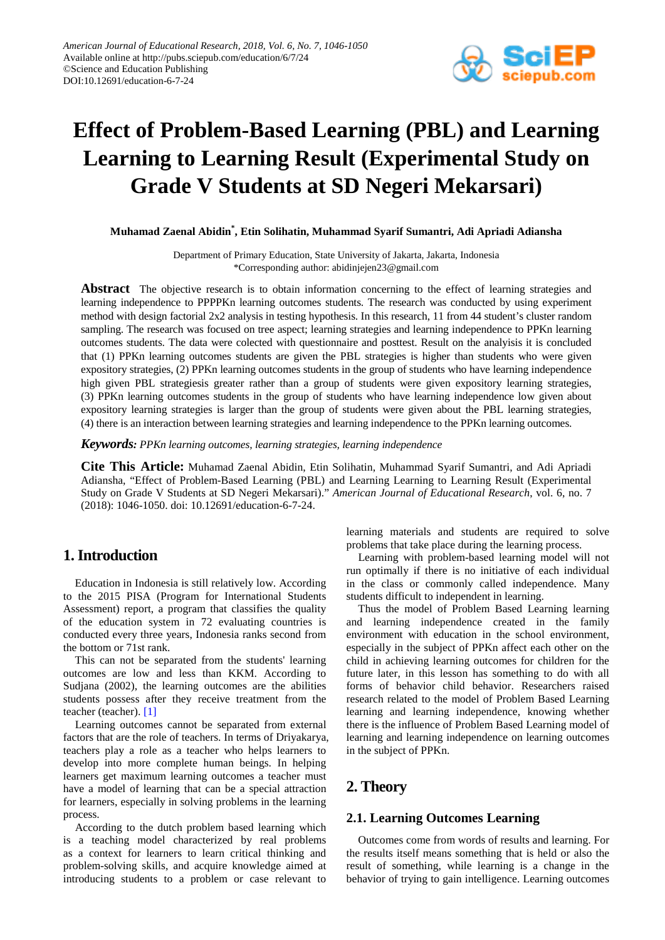

# **Effect of Problem-Based Learning (PBL) and Learning Learning to Learning Result (Experimental Study on Grade V Students at SD Negeri Mekarsari)**

**Muhamad Zaenal Abidin\* , Etin Solihatin, Muhammad Syarif Sumantri, Adi Apriadi Adiansha**

Department of Primary Education, State University of Jakarta, Jakarta, Indonesia \*Corresponding author: abidinjejen23@gmail.com

**Abstract** The objective research is to obtain information concerning to the effect of learning strategies and learning independence to PPPPKn learning outcomes students. The research was conducted by using experiment method with design factorial 2x2 analysis in testing hypothesis. In this research, 11 from 44 student's cluster random sampling. The research was focused on tree aspect; learning strategies and learning independence to PPKn learning outcomes students. The data were colected with questionnaire and posttest. Result on the analyisis it is concluded that (1) PPKn learning outcomes students are given the PBL strategies is higher than students who were given expository strategies, (2) PPKn learning outcomes students in the group of students who have learning independence high given PBL strategiesis greater rather than a group of students were given expository learning strategies, (3) PPKn learning outcomes students in the group of students who have learning independence low given about expository learning strategies is larger than the group of students were given about the PBL learning strategies, (4) there is an interaction between learning strategies and learning independence to the PPKn learning outcomes.

*Keywords: PPKn learning outcomes, learning strategies, learning independence*

**Cite This Article:** Muhamad Zaenal Abidin, Etin Solihatin, Muhammad Syarif Sumantri, and Adi Apriadi Adiansha, "Effect of Problem-Based Learning (PBL) and Learning Learning to Learning Result (Experimental Study on Grade V Students at SD Negeri Mekarsari)." *American Journal of Educational Research*, vol. 6, no. 7 (2018): 1046-1050. doi: 10.12691/education-6-7-24.

## **1. Introduction**

Education in Indonesia is still relatively low. According to the 2015 PISA (Program for International Students Assessment) report, a program that classifies the quality of the education system in 72 evaluating countries is conducted every three years, Indonesia ranks second from the bottom or 71st rank.

This can not be separated from the students' learning outcomes are low and less than KKM. According to Sudjana (2002), the learning outcomes are the abilities students possess after they receive treatment from the teacher (teacher). [\[1\]](#page-3-0)

Learning outcomes cannot be separated from external factors that are the role of teachers. In terms of Driyakarya, teachers play a role as a teacher who helps learners to develop into more complete human beings. In helping learners get maximum learning outcomes a teacher must have a model of learning that can be a special attraction for learners, especially in solving problems in the learning process.

According to the dutch problem based learning which is a teaching model characterized by real problems as a context for learners to learn critical thinking and problem-solving skills, and acquire knowledge aimed at introducing students to a problem or case relevant to

learning materials and students are required to solve problems that take place during the learning process.

Learning with problem-based learning model will not run optimally if there is no initiative of each individual in the class or commonly called independence. Many students difficult to independent in learning.

Thus the model of Problem Based Learning learning and learning independence created in the family environment with education in the school environment, especially in the subject of PPKn affect each other on the child in achieving learning outcomes for children for the future later, in this lesson has something to do with all forms of behavior child behavior. Researchers raised research related to the model of Problem Based Learning learning and learning independence, knowing whether there is the influence of Problem Based Learning model of learning and learning independence on learning outcomes in the subject of PPKn.

## **2. Theory**

#### **2.1. Learning Outcomes Learning**

Outcomes come from words of results and learning. For the results itself means something that is held or also the result of something, while learning is a change in the behavior of trying to gain intelligence. Learning outcomes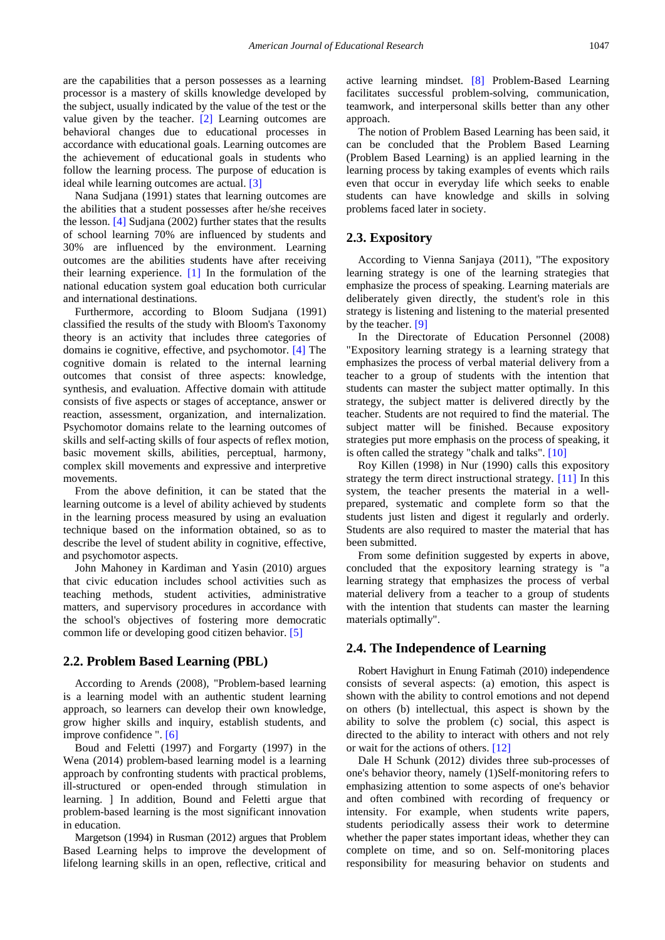are the capabilities that a person possesses as a learning processor is a mastery of skills knowledge developed by the subject, usually indicated by the value of the test or the value given by the teacher. [\[2\]](#page-3-1) Learning outcomes are behavioral changes due to educational processes in accordance with educational goals. Learning outcomes are the achievement of educational goals in students who follow the learning process. The purpose of education is ideal while learning outcomes are actual. [\[3\]](#page-3-2)

Nana Sudjana (1991) states that learning outcomes are the abilities that a student possesses after he/she receives the lesson. [\[4\]](#page-3-3) Sudjana (2002) further states that the results of school learning 70% are influenced by students and 30% are influenced by the environment. Learning outcomes are the abilities students have after receiving their learning experience. [\[1\]](#page-3-0) In the formulation of the national education system goal education both curricular and international destinations.

Furthermore, according to Bloom Sudjana (1991) classified the results of the study with Bloom's Taxonomy theory is an activity that includes three categories of domains ie cognitive, effective, and psychomotor. [\[4\]](#page-3-3) The cognitive domain is related to the internal learning outcomes that consist of three aspects: knowledge, synthesis, and evaluation. Affective domain with attitude consists of five aspects or stages of acceptance, answer or reaction, assessment, organization, and internalization. Psychomotor domains relate to the learning outcomes of skills and self-acting skills of four aspects of reflex motion, basic movement skills, abilities, perceptual, harmony, complex skill movements and expressive and interpretive movements.

From the above definition, it can be stated that the learning outcome is a level of ability achieved by students in the learning process measured by using an evaluation technique based on the information obtained, so as to describe the level of student ability in cognitive, effective, and psychomotor aspects.

John Mahoney in Kardiman and Yasin (2010) argues that civic education includes school activities such as teaching methods, student activities, administrative matters, and supervisory procedures in accordance with the school's objectives of fostering more democratic common life or developing good citizen behavior. [\[5\]](#page-3-4)

#### **2.2. Problem Based Learning (PBL)**

According to Arends (2008), "Problem-based learning is a learning model with an authentic student learning approach, so learners can develop their own knowledge, grow higher skills and inquiry, establish students, and improve confidence ". [\[6\]](#page-3-5)

Boud and Feletti (1997) and Forgarty (1997) in the Wena (2014) problem-based learning model is a learning approach by confronting students with practical problems, ill-structured or open-ended through stimulation in learning. ] In addition, Bound and Feletti argue that problem-based learning is the most significant innovation in education.

Margetson (1994) in Rusman (2012) argues that Problem Based Learning helps to improve the development of lifelong learning skills in an open, reflective, critical and active learning mindset. [\[8\]](#page-3-6) Problem-Based Learning facilitates successful problem-solving, communication, teamwork, and interpersonal skills better than any other approach.

The notion of Problem Based Learning has been said, it can be concluded that the Problem Based Learning (Problem Based Learning) is an applied learning in the learning process by taking examples of events which rails even that occur in everyday life which seeks to enable students can have knowledge and skills in solving problems faced later in society.

#### **2.3. Expository**

According to Vienna Sanjaya (2011), "The expository learning strategy is one of the learning strategies that emphasize the process of speaking. Learning materials are deliberately given directly, the student's role in this strategy is listening and listening to the material presented by the teacher. [\[9\]](#page-3-7)

In the Directorate of Education Personnel (2008) "Expository learning strategy is a learning strategy that emphasizes the process of verbal material delivery from a teacher to a group of students with the intention that students can master the subject matter optimally. In this strategy, the subject matter is delivered directly by the teacher. Students are not required to find the material. The subject matter will be finished. Because expository strategies put more emphasis on the process of speaking, it is often called the strategy "chalk and talks". [\[10\]](#page-3-8)

Roy Killen (1998) in Nur (1990) calls this expository strategy the term direct instructional strategy. [\[11\]](#page-3-9) In this system, the teacher presents the material in a wellprepared, systematic and complete form so that the students just listen and digest it regularly and orderly. Students are also required to master the material that has been submitted.

From some definition suggested by experts in above, concluded that the expository learning strategy is "a learning strategy that emphasizes the process of verbal material delivery from a teacher to a group of students with the intention that students can master the learning materials optimally".

#### **2.4. The Independence of Learning**

Robert Havighurt in Enung Fatimah (2010) independence consists of several aspects: (a) emotion, this aspect is shown with the ability to control emotions and not depend on others (b) intellectual, this aspect is shown by the ability to solve the problem (c) social, this aspect is directed to the ability to interact with others and not rely or wait for the actions of others[. \[12\]](#page-3-10)

Dale H Schunk (2012) divides three sub-processes of one's behavior theory, namely (1)Self-monitoring refers to emphasizing attention to some aspects of one's behavior and often combined with recording of frequency or intensity. For example, when students write papers, students periodically assess their work to determine whether the paper states important ideas, whether they can complete on time, and so on. Self-monitoring places responsibility for measuring behavior on students and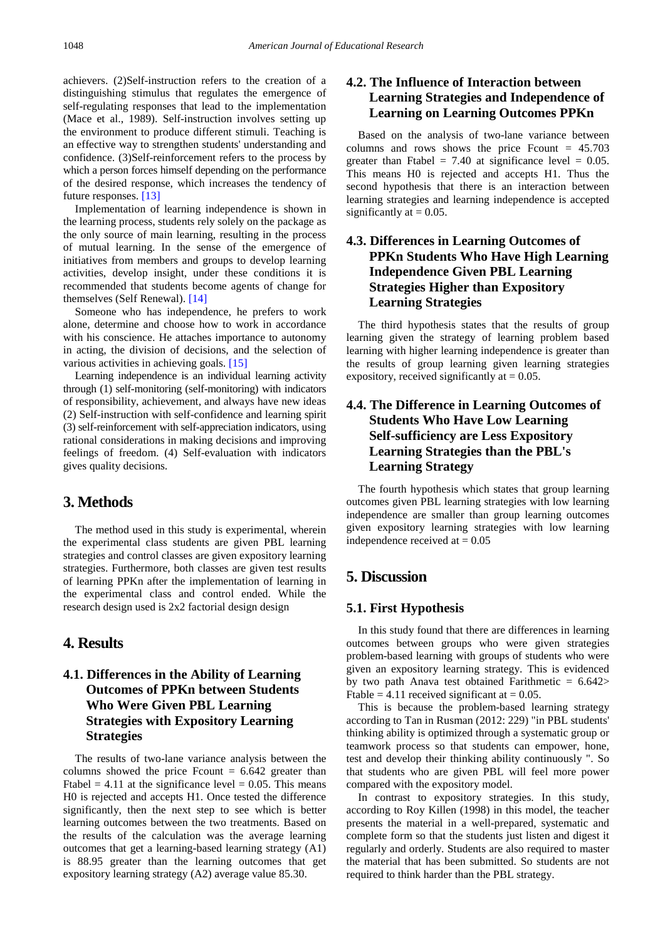achievers. (2)Self-instruction refers to the creation of a distinguishing stimulus that regulates the emergence of self-regulating responses that lead to the implementation (Mace et al., 1989). Self-instruction involves setting up the environment to produce different stimuli. Teaching is an effective way to strengthen students' understanding and confidence. (3)Self-reinforcement refers to the process by which a person forces himself depending on the performance of the desired response, which increases the tendency of future responses. [\[13\]](#page-4-0)

Implementation of learning independence is shown in the learning process, students rely solely on the package as the only source of main learning, resulting in the process of mutual learning. In the sense of the emergence of initiatives from members and groups to develop learning activities, develop insight, under these conditions it is recommended that students become agents of change for themselves (Self Renewal). [\[14\]](#page-4-1)

Someone who has independence, he prefers to work alone, determine and choose how to work in accordance with his conscience. He attaches importance to autonomy in acting, the division of decisions, and the selection of various activities in achieving goals. [\[15\]](#page-4-2)

Learning independence is an individual learning activity through (1) self-monitoring (self-monitoring) with indicators of responsibility, achievement, and always have new ideas (2) Self-instruction with self-confidence and learning spirit (3) self-reinforcement with self-appreciation indicators, using rational considerations in making decisions and improving feelings of freedom. (4) Self-evaluation with indicators gives quality decisions.

## **3. Methods**

The method used in this study is experimental, wherein the experimental class students are given PBL learning strategies and control classes are given expository learning strategies. Furthermore, both classes are given test results of learning PPKn after the implementation of learning in the experimental class and control ended. While the research design used is 2x2 factorial design design

#### **4. Results**

## **4.1. Differences in the Ability of Learning Outcomes of PPKn between Students Who Were Given PBL Learning Strategies with Expository Learning Strategies**

The results of two-lane variance analysis between the columns showed the price Fcount  $= 6.642$  greater than Ftabel = 4.11 at the significance level =  $0.05$ . This means H0 is rejected and accepts H1. Once tested the difference significantly, then the next step to see which is better learning outcomes between the two treatments. Based on the results of the calculation was the average learning outcomes that get a learning-based learning strategy (A1) is 88.95 greater than the learning outcomes that get expository learning strategy (A2) average value 85.30.

## **4.2. The Influence of Interaction between Learning Strategies and Independence of Learning on Learning Outcomes PPKn**

Based on the analysis of two-lane variance between columns and rows shows the price Fcount  $= 45.703$ greater than Ftabel =  $7.40$  at significance level = 0.05. This means H0 is rejected and accepts H1. Thus the second hypothesis that there is an interaction between learning strategies and learning independence is accepted significantly at  $= 0.05$ .

## **4.3. Differences in Learning Outcomes of PPKn Students Who Have High Learning Independence Given PBL Learning Strategies Higher than Expository Learning Strategies**

The third hypothesis states that the results of group learning given the strategy of learning problem based learning with higher learning independence is greater than the results of group learning given learning strategies expository, received significantly at  $= 0.05$ .

## **4.4. The Difference in Learning Outcomes of Students Who Have Low Learning Self-sufficiency are Less Expository Learning Strategies than the PBL's Learning Strategy**

The fourth hypothesis which states that group learning outcomes given PBL learning strategies with low learning independence are smaller than group learning outcomes given expository learning strategies with low learning independence received at  $= 0.05$ 

## **5. Discussion**

#### **5.1. First Hypothesis**

In this study found that there are differences in learning outcomes between groups who were given strategies problem-based learning with groups of students who were given an expository learning strategy. This is evidenced by two path Anava test obtained Farithmetic  $= 6.642$ Ftable = 4.11 received significant at =  $0.05$ .

This is because the problem-based learning strategy according to Tan in Rusman (2012: 229) "in PBL students' thinking ability is optimized through a systematic group or teamwork process so that students can empower, hone, test and develop their thinking ability continuously ". So that students who are given PBL will feel more power compared with the expository model.

In contrast to expository strategies. In this study, according to Roy Killen (1998) in this model, the teacher presents the material in a well-prepared, systematic and complete form so that the students just listen and digest it regularly and orderly. Students are also required to master the material that has been submitted. So students are not required to think harder than the PBL strategy.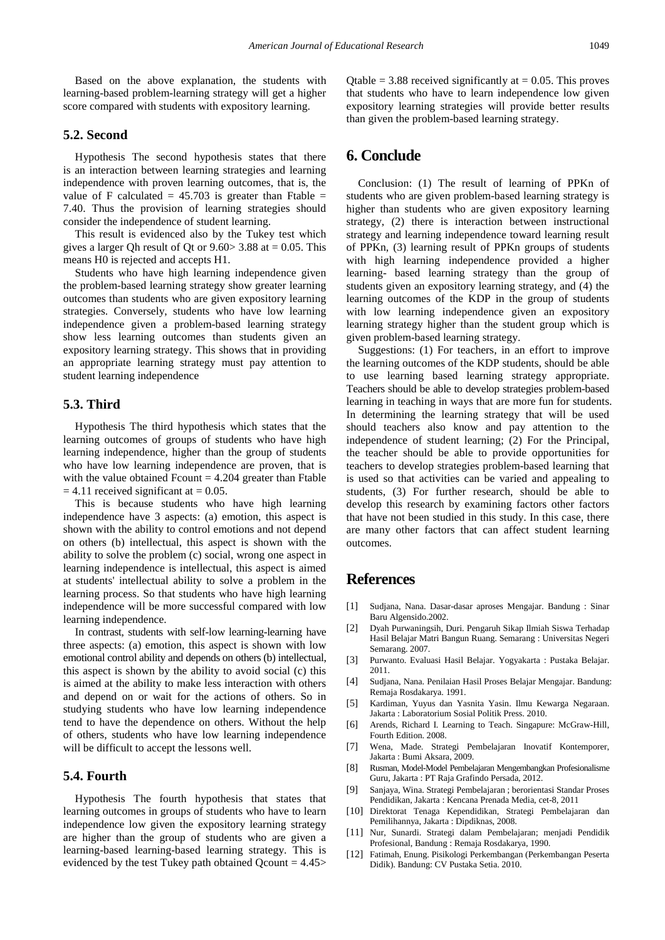Based on the above explanation, the students with learning-based problem-learning strategy will get a higher score compared with students with expository learning.

#### **5.2. Second**

Hypothesis The second hypothesis states that there is an interaction between learning strategies and learning independence with proven learning outcomes, that is, the value of F calculated  $= 45.703$  is greater than Ftable  $=$ 7.40. Thus the provision of learning strategies should consider the independence of student learning.

This result is evidenced also by the Tukey test which gives a larger Qh result of Qt or  $9.60 > 3.88$  at  $= 0.05$ . This means H0 is rejected and accepts H1.

Students who have high learning independence given the problem-based learning strategy show greater learning outcomes than students who are given expository learning strategies. Conversely, students who have low learning independence given a problem-based learning strategy show less learning outcomes than students given an expository learning strategy. This shows that in providing an appropriate learning strategy must pay attention to student learning independence

#### **5.3. Third**

Hypothesis The third hypothesis which states that the learning outcomes of groups of students who have high learning independence, higher than the group of students who have low learning independence are proven, that is with the value obtained  $Fcount = 4.204$  greater than Ftable  $= 4.11$  received significant at  $= 0.05$ .

This is because students who have high learning independence have 3 aspects: (a) emotion, this aspect is shown with the ability to control emotions and not depend on others (b) intellectual, this aspect is shown with the ability to solve the problem (c) social, wrong one aspect in learning independence is intellectual, this aspect is aimed at students' intellectual ability to solve a problem in the learning process. So that students who have high learning independence will be more successful compared with low learning independence.

In contrast, students with self-low learning-learning have three aspects: (a) emotion, this aspect is shown with low emotional control ability and depends on others (b) intellectual, this aspect is shown by the ability to avoid social (c) this is aimed at the ability to make less interaction with others and depend on or wait for the actions of others. So in studying students who have low learning independence tend to have the dependence on others. Without the help of others, students who have low learning independence will be difficult to accept the lessons well.

#### **5.4. Fourth**

Hypothesis The fourth hypothesis that states that learning outcomes in groups of students who have to learn independence low given the expository learning strategy are higher than the group of students who are given a learning-based learning-based learning strategy. This is evidenced by the test Tukey path obtained  $Qcount = 4.45$  Qtable = 3.88 received significantly at =  $0.05$ . This proves that students who have to learn independence low given expository learning strategies will provide better results than given the problem-based learning strategy.

#### **6. Conclude**

Conclusion: (1) The result of learning of PPKn of students who are given problem-based learning strategy is higher than students who are given expository learning strategy, (2) there is interaction between instructional strategy and learning independence toward learning result of PPKn, (3) learning result of PPKn groups of students with high learning independence provided a higher learning- based learning strategy than the group of students given an expository learning strategy, and (4) the learning outcomes of the KDP in the group of students with low learning independence given an expository learning strategy higher than the student group which is given problem-based learning strategy.

Suggestions: (1) For teachers, in an effort to improve the learning outcomes of the KDP students, should be able to use learning based learning strategy appropriate. Teachers should be able to develop strategies problem-based learning in teaching in ways that are more fun for students. In determining the learning strategy that will be used should teachers also know and pay attention to the independence of student learning; (2) For the Principal, the teacher should be able to provide opportunities for teachers to develop strategies problem-based learning that is used so that activities can be varied and appealing to students, (3) For further research, should be able to develop this research by examining factors other factors that have not been studied in this study. In this case, there are many other factors that can affect student learning outcomes.

## **References**

- <span id="page-3-0"></span>[1] Sudjana, Nana. Dasar-dasar aproses Mengajar. Bandung : Sinar Baru Algensido.2002.
- <span id="page-3-1"></span>[2] Dyah Purwaningsih, Duri. Pengaruh Sikap Ilmiah Siswa Terhadap Hasil Belajar Matri Bangun Ruang. Semarang : Universitas Negeri Semarang. 2007.
- <span id="page-3-2"></span>[3] Purwanto. Evaluasi Hasil Belajar. Yogyakarta : Pustaka Belajar. 2011.
- <span id="page-3-3"></span>[4] Sudjana, Nana. Penilaian Hasil Proses Belajar Mengajar. Bandung: Remaja Rosdakarya. 1991.
- <span id="page-3-4"></span>[5] Kardiman, Yuyus dan Yasnita Yasin. Ilmu Kewarga Negaraan. Jakarta : Laboratorium Sosial Politik Press. 2010.
- <span id="page-3-5"></span>[6] Arends, Richard I. Learning to Teach. Singapure: McGraw-Hill, Fourth Edition. 2008.
- [7] Wena, Made. Strategi Pembelajaran Inovatif Kontemporer, Jakarta : Bumi Aksara, 2009.
- <span id="page-3-6"></span>[8] Rusman, Model-Model Pembelajaran Mengembangkan Profesionalisme Guru, Jakarta : PT Raja Grafindo Persada, 2012.
- <span id="page-3-7"></span>[9] Sanjaya, Wina. Strategi Pembelajaran ; berorientasi Standar Proses Pendidikan, Jakarta : Kencana Prenada Media, cet-8, 2011
- <span id="page-3-8"></span>[10] Direktorat Tenaga Kependidikan, Strategi Pembelajaran dan Pemilihannya, Jakarta : Dipdiknas, 2008.
- <span id="page-3-9"></span>[11] Nur, Sunardi. Strategi dalam Pembelajaran; menjadi Pendidik Profesional, Bandung : Remaja Rosdakarya, 1990.
- <span id="page-3-10"></span>[12] Fatimah, Enung. Pisikologi Perkembangan (Perkembangan Peserta Didik). Bandung: CV Pustaka Setia. 2010.